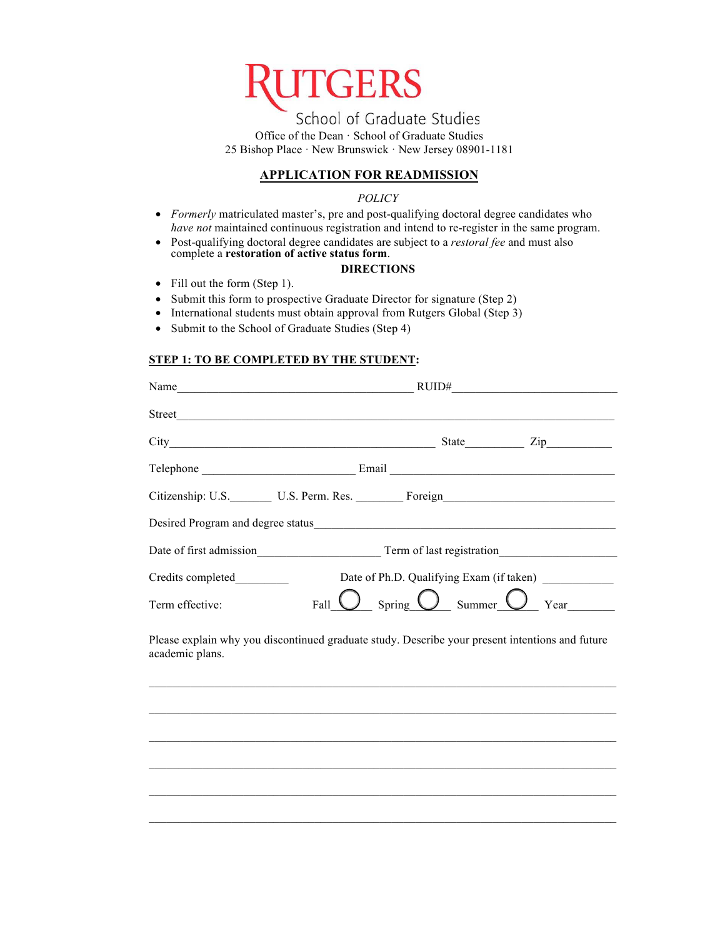

School of Graduate Studies Office of the Dean · School of Graduate Studies 25 Bishop Place · New Brunswick · New Jersey 08901-1181

# **APPLICATION FOR READMISSION**

### *POLICY*

- *Formerly* matriculated master's, pre and post-qualifying doctoral degree candidates who *have not* maintained continuous registration and intend to re-register in the same program.
- Post-qualifying doctoral degree candidates are subject to a *restoral fee* and must also complete a **[restoration of active status form](https://gsnb.rutgers.edu/application-restoration-active-status)**.

### **DIRECTIONS**

- Fill out the form (Step 1).
- Submit this form to prospective Graduate Director for signature (Step 2)
- International students must obtain approval from Rutgers Global (Step 3)
- Submit to the School of Graduate Studies (Step 4)

### **STEP 1: TO BE COMPLETED BY THE STUDENT:**

| Name              | RUID#                                                                                         |
|-------------------|-----------------------------------------------------------------------------------------------|
| Street            |                                                                                               |
|                   | State $\frac{1}{\sqrt{1-\frac{1}{2}}\cdot\frac{1}{\sqrt{1-\frac{1}{2}}}}$<br>$\mathsf{Zip}\_$ |
|                   |                                                                                               |
|                   | Citizenship: U.S. U.S. Perm. Res. Foreign                                                     |
|                   |                                                                                               |
|                   | Date of first admission Term of last registration                                             |
| Credits completed | Date of Ph.D. Qualifying Exam (if taken)                                                      |
| Term effective:   | ) <sub>Summer</sub> (<br>Spring<br>Year<br>Fall                                               |

Please explain why you discontinued graduate study. Describe your present intentions and future academic plans.